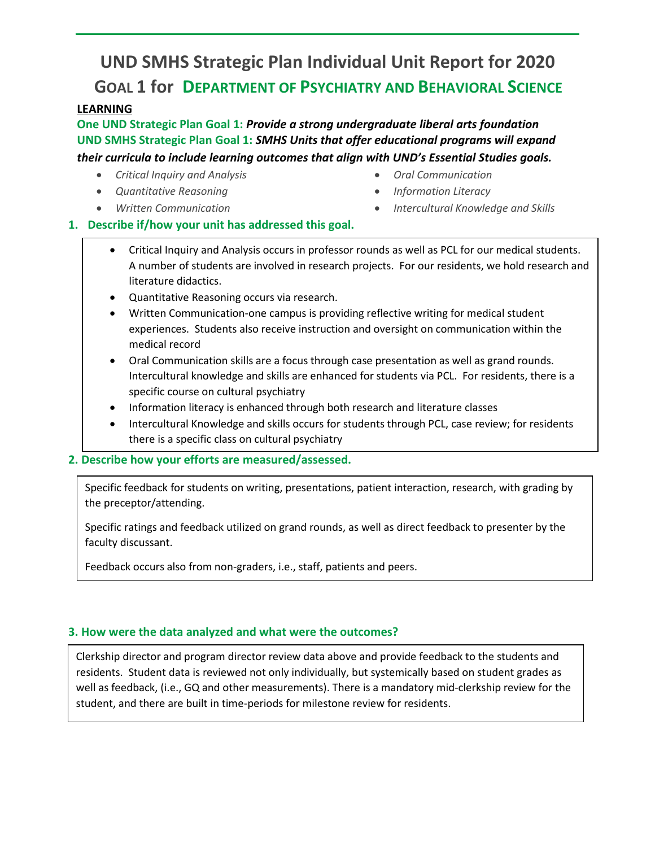# **UND SMHS Strategic Plan Individual Unit Report for 2020 GOAL 1 for DEPARTMENT OF PSYCHIATRY AND BEHAVIORAL SCIENCE**

# **LEARNING**

**One UND Strategic Plan Goal 1:** *Provide a strong undergraduate liberal arts foundation* **UND SMHS Strategic Plan Goal 1:** *SMHS Units that offer educational programs will expand their curricula to include learning outcomes that align with UND's Essential Studies goals.* 

- *Critical Inquiry and Analysis*
- *Quantitative Reasoning*
- *Written Communication*
- *Oral Communication*
- *Information Literacy*
- *Intercultural Knowledge and Skills*
- **1. Describe if/how your unit has addressed this goal.** 
	- Critical Inquiry and Analysis occurs in professor rounds as well as PCL for our medical students. A number of students are involved in research projects. For our residents, we hold research and literature didactics.
	- Quantitative Reasoning occurs via research.
	- Written Communication-one campus is providing reflective writing for medical student experiences. Students also receive instruction and oversight on communication within the medical record
	- Oral Communication skills are a focus through case presentation as well as grand rounds. Intercultural knowledge and skills are enhanced for students via PCL. For residents, there is a specific course on cultural psychiatry
	- Information literacy is enhanced through both research and literature classes
	- Intercultural Knowledge and skills occurs for students through PCL, case review; for residents there is a specific class on cultural psychiatry

# **2. Describe how your efforts are measured/assessed.**

Specific feedback for students on writing, presentations, patient interaction, research, with grading by the preceptor/attending.

Specific ratings and feedback utilized on grand rounds, as well as direct feedback to presenter by the faculty discussant.

Feedback occurs also from non-graders, i.e., staff, patients and peers.

# **3. How were the data analyzed and what were the outcomes?**

Clerkship director and program director review data above and provide feedback to the students and residents. Student data is reviewed not only individually, but systemically based on student grades as well as feedback, (i.e., GQ and other measurements). There is a mandatory mid-clerkship review for the student, and there are built in time-periods for milestone review for residents.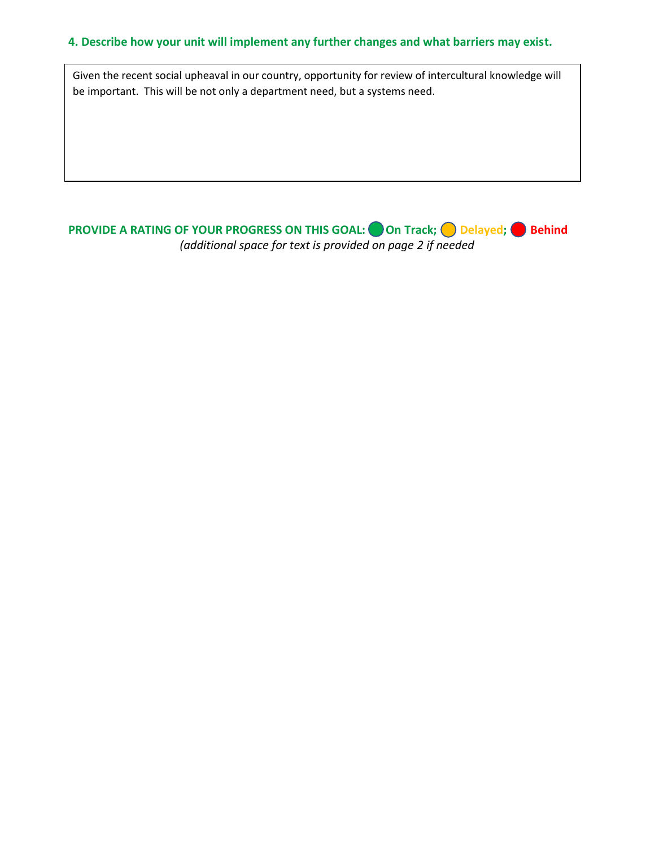#### **4. Describe how your unit will implement any further changes and what barriers may exist.**

Given the recent social upheaval in our country, opportunity for review of intercultural knowledge will be important. This will be not only a department need, but a systems need.